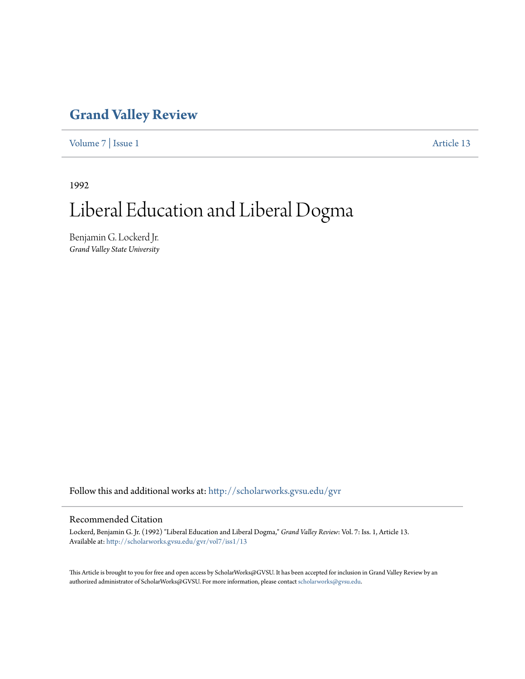### **[Grand Valley Review](http://scholarworks.gvsu.edu/gvr?utm_source=scholarworks.gvsu.edu%2Fgvr%2Fvol7%2Fiss1%2F13&utm_medium=PDF&utm_campaign=PDFCoverPages)**

[Volume 7](http://scholarworks.gvsu.edu/gvr/vol7?utm_source=scholarworks.gvsu.edu%2Fgvr%2Fvol7%2Fiss1%2F13&utm_medium=PDF&utm_campaign=PDFCoverPages) | [Issue 1](http://scholarworks.gvsu.edu/gvr/vol7/iss1?utm_source=scholarworks.gvsu.edu%2Fgvr%2Fvol7%2Fiss1%2F13&utm_medium=PDF&utm_campaign=PDFCoverPages) [Article 13](http://scholarworks.gvsu.edu/gvr/vol7/iss1/13?utm_source=scholarworks.gvsu.edu%2Fgvr%2Fvol7%2Fiss1%2F13&utm_medium=PDF&utm_campaign=PDFCoverPages)

1992

# Liberal Education and Liberal Dogma

Benjamin G. Lockerd Jr. *Grand Valley State University*

Follow this and additional works at: [http://scholarworks.gvsu.edu/gvr](http://scholarworks.gvsu.edu/gvr?utm_source=scholarworks.gvsu.edu%2Fgvr%2Fvol7%2Fiss1%2F13&utm_medium=PDF&utm_campaign=PDFCoverPages)

### Recommended Citation

Lockerd, Benjamin G. Jr. (1992) "Liberal Education and Liberal Dogma," *Grand Valley Review*: Vol. 7: Iss. 1, Article 13. Available at: [http://scholarworks.gvsu.edu/gvr/vol7/iss1/13](http://scholarworks.gvsu.edu/gvr/vol7/iss1/13?utm_source=scholarworks.gvsu.edu%2Fgvr%2Fvol7%2Fiss1%2F13&utm_medium=PDF&utm_campaign=PDFCoverPages)

This Article is brought to you for free and open access by ScholarWorks@GVSU. It has been accepted for inclusion in Grand Valley Review by an authorized administrator of ScholarWorks@GVSU. For more information, please contact [scholarworks@gvsu.edu.](mailto:scholarworks@gvsu.edu)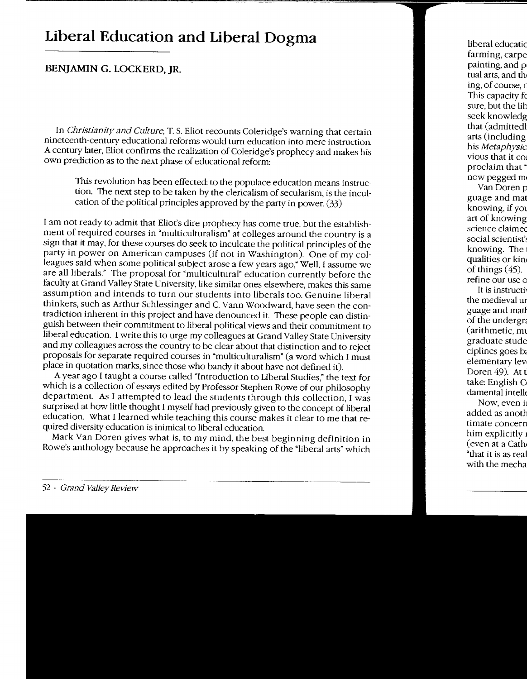## **Liberal Education and Liberal Dogma**

### **BENJAMIN G. LOCKERD. JR.**

In *Christianity and Culture,* T. S. Eliot recounts Coleridge's warning that certain nineteenth-centurv educational reforms would turn education into mere instruction. A century later, Eliot confirms the realization of Coleridge's prophecy and makes his own prediction as to the next phase of educational reform:

This revolution has been effected: to the populace education means instruction. The next step to be taken by the clericalism of secularism, is the inculcation of the political principles approved by the party in power. (33)

I am not ready to admit that Eliot's dire prophecy has come true, but the establishment of required courses in "multiculturalism" at colleges around the country is a sign that it may, for these courses do seek to inculcate the political principles of the party in power on American campuses (if not in Washington). One of my colleagues said when some political subject arose a few years ago," Well, I assume we are all liberals." The proposal for "multicultural" education currently before the faculty at Grand Valley State University, like similar ones elsewhere, makes this same assumption and intends to turn our students into liberals too. Genuine liberal thinkers, such as Arthur Schlessinger and C. Vann Woodward, have seen the contradiction inherent in this project and have denounced it. These people can distinguish between their commitment to liberal political views and their commitment to liberal education. I write this to urge my colleagues at Grand Valley State University and my colleagues across the country to be clear about that distinction and to reject proposals for separate required courses in "multiculturalism" (a word which I must place in quotation marks, since those who bandy it about have not defined it).

A year ago I taught a course called "Introduction to Liberal Studies," the text for which is a collection of essays edited by Professor Stephen Rowe of our philosophy department. As I attempted to lead the students through this collection, I was surprised at how little thought I myself had previously given to the concept of liberal education. What I learned while teaching this course makes it clear to me that required diversity education is inimical to liberal education.

Mark Van Doren gives what is, to my mind, the best beginning definition in Rowe's anthology because he approaches it by speaking of the "liberal arts" which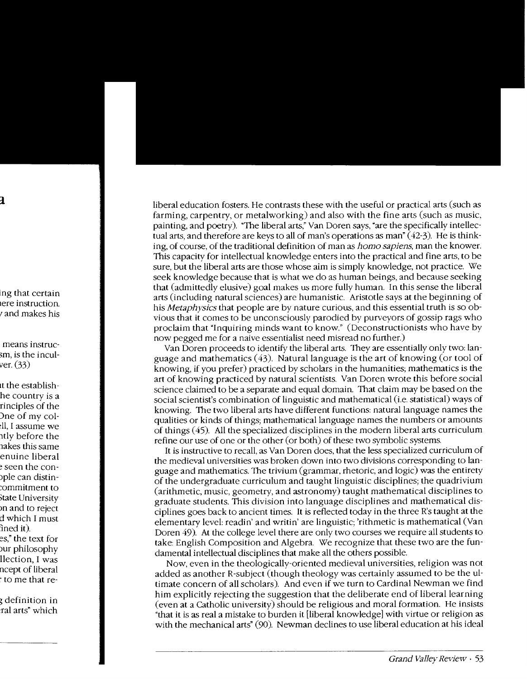liberal education fosters. He contrasts these with the useful or practical arts (such as farming, carpentry, or metalworking) and also with the fine arts (such as music, painting, and poetry). "The liberal arts," Van Doren says, "are the specifically intellectual arts, and therefore are keys to all of man's operations as man'  $(42-3)$ . He is thinking, of course, of the traditional definition of man as *homo sapiens,* man the knower. This capacity for intellectual knowledge enters into the practical and fine arts, to be sure, but the liberal arts are those whose aim is simply knowledge, not practice. We seek knowledge because that is what we do as human beings, and because seeking that (admittedly elusive) goal makes us more fully human. In this sense the liberal arts (including natural sciences) are humanistic. Aristotle says at the beginning of his *Metaphysics* that people are by nature curious, and this essential truth is so obvious that it comes to be unconsciously parodied by purveyors of gossip rags who proclaim that "Inquiring minds want to know." (Deconstructionists who have by now pegged me for a naive essentialist need misread no further.)

Van Doren proceeds to identify the liberal arts. They are essentially only two: language and mathematics  $(43)$ . Natural language is the art of knowing (or tool of knowing, if you prefer) practiced by scholars in the humanities; mathematics is the art of knowing practiced by natural scientists. Van Doren wrote this before social science claimed to be a separate and equal domain. That claim may be based on the social scientist's combination of linguistic and mathematical (i.e. statistical) ways of knowing. The two liberal arts have different functions: natural language names the qualities or kinds of things; mathematical language names the numbers or amounts of things ( 45). All the specialized disciplines in the modern liberal arts curriculum refine our use of one or the other (or both) of these two symbolic systems.

It is instructive to recall, as Van Doren does, that the less specialized curriculum of the medieval universities was broken down into two divisions corresponding to language and mathematics. The trivium (grammar, rhetoric, and logic) was the entirety of the undergraduate curriculum and taught linguistic disciplines; the quadrivium (arithmetic, music, geometry, and astronomy) taught mathematical disciplines to graduate students. This division into language disciplines and mathematical disciplines goes back to ancient times. It is reflected today in the three R's taught at the elementary level: readin' and writin' are linguistic: 'rithmetic is mathematical (Van Doren 49). At the college level there are only two courses we require all students to take: English Composition and Algebra. We recognize that these two are the fundamental intellectual disciplines that make all the others possible.

Now, even in the theologically-oriented medieval universities, religion was not added as another R-subject (though theology was certainly assumed to be the ultimate concern of all scholars). And even if we turn to Cardinal Newman we find him explicitly rejecting the suggestion that the deliberate end of liberal learning (even at a Catholic university) should be religious and moral formation. He insists "that it is as real a mistake to burden it [liberal knowledge] with virtue or religion as with the mechanical arts" (90). Newman declines to use liberal education at his ideal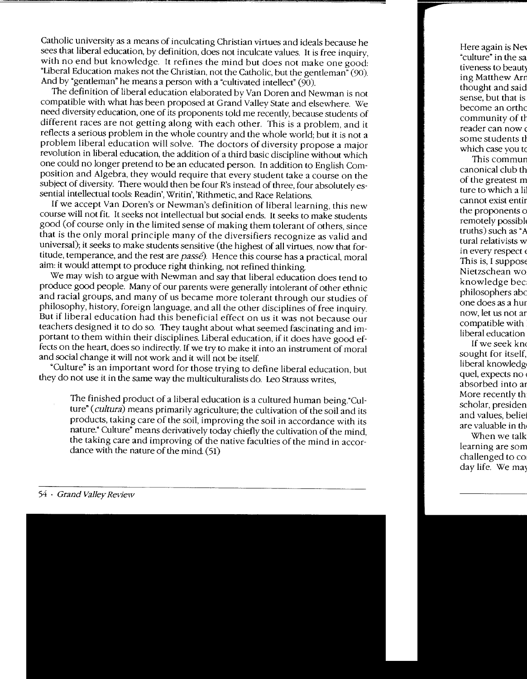Catholic university as a means of inculcating Christian virtues and ideals because he sees that liberal education, by definition, does not inculcate values. It is free inquiry, with no end but knowledge. It refines the mind but does not make one good: "Liberal Education makes not the Christian, not the Catholic, but the gentleman" (90). And by "gentleman" he means a person with a "cultivated intellect"  $(90)$ .

The definition of liberal education elaborated by Van Doren and Newman is not compatible with what has been proposed at Grand Valley State and elsewhere. We need diversity education, one of its proponents told me recently, because students of different races are not getting along with each other. This is a problem, and it reflects a serious problem in the whole country and the whole world; but it is not a problem liberal education will solve. The doctors of diversity propose a major revolution in liberal education, the addition of a third basic discipline without which one could no longer pretend to be an educated person. In addition to English Composition and Algebra, they would require that every student take a course on the subject of diversity. There would then be four R's instead of three, four absolutely essential intellectual tools: Readin', Writin', 'Rithmetic, and Race Relations.

If we accept Van Doren's or Newman's definition of liberal learning, this new course will not fit. It seeks not intellectual but social ends. It seeks to make students good (of course only in the limited sense of making them tolerant of others, since that is the only moral principle many of the diversifiers recognize as valid and universal); it seeks to make students sensitive (the highest of all virtues. now that fortitude, temperance, and the rest are *passe).* Hence this course has a practical moral aim: it would attempt to produce right thinking, not refined thinking.

We may wish to argue with Newman and say that liberal education does tend to produce good people. Many of our parents were generally intolerant of other ethnic and racial groups, and many of us became more tolerant through our studies of philosophy, history, foreign language, and all the other disciplines of free inquiry. But if liberal education had this beneficial effect on us it was not because our teachers designed it to do so. They taught about what seemed fascinating and important to them within their disciplines. Liberal education, if it does have good effects on the heart, does so indirectly. If we try to make it into an instrument of moral and social change it will not work and it will not be itself.

"Culture" is an important word for those trying to define liberal education. but they do not use it in the same way the multiculturalists do. Leo Strauss writes,

The finished product of a liberal education is a cultured human being."Culture" ( *cultura)* means primarily agriculture; the cultivation of the soil and its products, taking care of the soil, improving the soil in accordance with its nature." Culture" means derivatively today chiefly the cultivation of the mind, the taking care and improving of the native faculties of the mind in accordance with the nature of the mind. (51)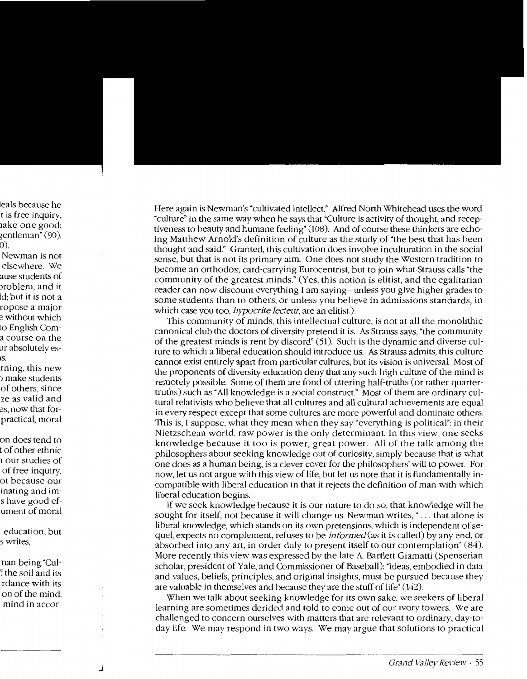Here again is Newman's "cultivated intellect." Alfred North Whitehead uses the word "culture" in the same way when he says that "Culture is activity of thought, and receptiveness to beauty and humane feeling"  $(108)$ . And of course these thinkers are echoing Matthew Arnold's definition of culture as the study of "the best that has been thought and said." Granted, this cultivation does involve inculturation in the social sense, but that is not its primary aim. One does not study the Western tradition to become an orthodox, card-carrying Eurocentrist, but to join what Strauss calls "the community of the greatest minds." (Yes. this notion is elitist, and the egalitarian reader can now discount everything I am saying-unless you give higher grades to some students than to others, or unless you believe in admissions standards, in which case you too, *h,vpocrite lecteur,* are an elitist.)

This community of minds, this intellectual culture, is not at all the monolithic canonical club the doctors of diversity pretend it is. *As* Strauss says, "the community of the greatest minds is rent by discord" (51). Such is the dynamic and diverse culture to which a liberal education should introduce us. *As* Strauss admits, this culture cannot exist entirely apart from particular cultures, but its vision is universal Most of the proponents of diversity education deny that any such high culture of the mind is remotely possible. Some of them are fond of uttering half-truths (or rather quartertruths) such as "All knowledge is a social construct." Most of them are ordinary cultural relativists who believe that all cultures and all cultural achievements are equal in every respect except that some cultures are more powerful and dominate others. This is, I suppose, what they mean when they say "everything is political": in their Nietzschean world, raw power is the only determinant. In this view, one seeks knowledge because it too is power, great power. All of the talk among the philosophers about seeking knowledge out of curiosity, simply because that is what one does as a human being, is a clever cover for the philosophers' will to power. For now, let us not argue with this view of life, but let us note that it is fundamentally incompatible with liberal education in that it rejects the definition of man with which liberal education begins.

If we seek knowledge because it is our nature to do so, that knowledge will be sought for itself, not because it will change us. Newman writes, "... that alone is liberal knowledge, which stands on its own pretensions, which is independent of sequel, expects no complement, refuses to be *informed(as* it is called) by any end, or absorbed into any art, in order duly to present itself to our contemplation" (84). More recently this view was expressed by the late A Bartlett Giamatti (Spenserian scholar, president of Yale, and Commissioner of Baseball): "Ideas, embodied in data and values, beliefs, principles, and original insights, must be pursued because they are valuable in themselves and because they are the stuff of life" (142).

When we talk about seeking knowledge for its own sake, we seekers of liberal learning are sometimes derided and told to come out of our ivory towers. \Ve are challenged to concern ourselves with matters that are relevant to ordinary, day-today life. We may respond in two ways. We may argue that solutions to practical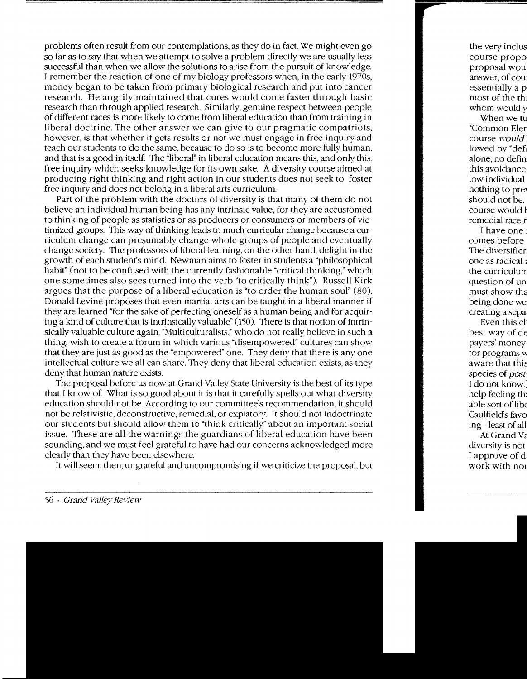problems often result from our contemplations, as they do in fact. We might even go so far as to say that when we attempt to solve a problem directly we are usually less successful than when we allow the solutions to arise from the pursuit of knowledge. I remember the reaction of one of my biology professors when, in the early 1970s, money began to be taken from primary biological research and put into cancer research. He angrily maintained that cures would come faster through basic research than through applied research. Similarly, genuine respect between people of different races is more likely to come from liberal education than from training in liberal doctrine. The other answer we can give to our pragmatic compatriots, however, is that whether it gets results or not we must engage in free inquiry and teach our students to do the same, because to do so is to become more fully human, and that is a good in itself. The "liberal" in liberal education means this, and only this: free inquiry which seeks knowledge for its own sake. A diversity course aimed at producing right thinking and right action in our students does not seek to foster free inquiry and does not belong in a liberal arts curriculum.

Part of the problem with the doctors of diversity is that many of them do not believe an individual human being has any intrinsic value, for they are accustomed to thinking of people as statistics or as producers or consumers or members of victimized groups. This way of thinking leads to much curricular change because a curriculum change can presumably change whole groups of people and eventually change society. The professors of liberal learning, on the other hand, delight in the growth of each student's mind. Newman aims to foster in students a "philosophical habit" (not to be confused with the currently fashionable "critical thinking," which one sometimes also sees turned into the verb "to criticallv think"). Russell Kirk argues that the purpose of a liberal education is "to order' the human soul" (80). Donald Levine proposes that even martial arts can be taught in a liberal manner if they are learned "for the sake of perfecting oneself as a human being and for acquiring a kind of culture that is intrinsically valuable" (150). There is that notion of intrinsically valuable culture again. "Multiculturalists," who do not really believe in such a thing, wish to create a forum in which various "disempowered" cultures can show that they are just as good as the "empowered" one. They deny that there is any one intellectual culture we all can share. They deny that liberal education exists, as they deny that human nature exists.

The proposal before us now at Grand Valley State University is the best of its type that I know of. What is so good about it is that it carefully spells out what diversity education should not be. According to our committee's recommendation, it should not be relativistic, deconstructive, remedial, or expiatory. It should not indoctrinate our students but should allow them to "think critically" about an important social issue. These are all the warnings the guardians of liberal education have been sounding, and we must feel grateful to have had our concerns acknowledged more clearly than they have been elsewhere.

It will seem, then, ungrateful and uncompromising if we criticize the proposal, but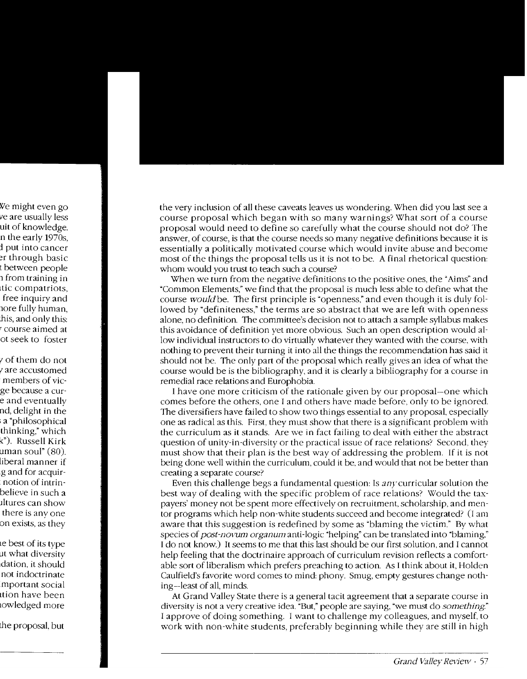the very inclusion of all these caveats leaves us wondering. When did you last see a course proposal which began with so many warnings? What sort of a course proposal would need to define so carefully what the course should not do? The answer, of course, is that the course needs so many negative definitions because it is essentially a politically motivated course which would invite abuse and become most of the things the proposal tells us it is not to be. A final rhetorical question: whom would you trust to teach such a course?

When we turn from the negative definitions to the positive ones, the "Aims" and "Common Elements," we find that the proposal is much less able to define what the course *would* be. The first principle is "openness." and even though it is duly followed by "definiteness," the terms are so abstract that we are left with openness alone, no definition. The committee's decision not to attach a sample syllabus makes this avoidance of definition yet more obvious. Such an open description would allow individual instructors to do virtually whatever they wanted with the course. with nothing to prevent their turning it into all the things the recommendation has said it should not be. The only part of the proposal which really gives an idea of what the course would be is the bibliography. and it is clearly a bibliography for a course in remedial race relations and Europhobia.

I have one more criticism of the rationale given by our proposal-one which comes before the others. one I and others have made before. only to be ignored. The diversifiers have failed to show two things essential to any proposal, especially one as radical as this. First. they must show that there is a significant problem with the curriculum as it stands. Are we in fact failing to deal with either the abstract question of unity-in-diversity or the practical issue of race relations' Second. they must show that their plan is the best way of addressing the problem. If it is not being done well within the curriculum, could it be. and would that not be better than creating a separate course?

Even this challenge begs a fundamental question: Is any curricular solution the best way of dealing with the specific problem of race relations? Would the taxpayers' money not be spent more effectively on recruitment. scholarship. and mentor programs which help non-white students succeed and become integrated? (I am aware that this suggestion is redefined by some as "blaming the victim." By what species of *post-novum organum* anti-logic "helping" can be translated into "blaming." I do not know.) It seems to me that this last should be our first solution. and I cannot help feeling that the doctrinaire approach of curriculum revision reflects a comfortable sort of liberalism which prefers preaching to action. As I think about it, Holden Caulfield's favorite word comes to mind: phony. Smug, empty gestures change nothing-least of all, minds.

At Grand Valley State there is a general tacit agreement that a separate course in diversity is not a very creative idea. "But," people are saying, "we must do *something"*  I approve of doing something. I want to challenge my colleagues, and myself. to work with non-white students, preferably beginning while they are still in high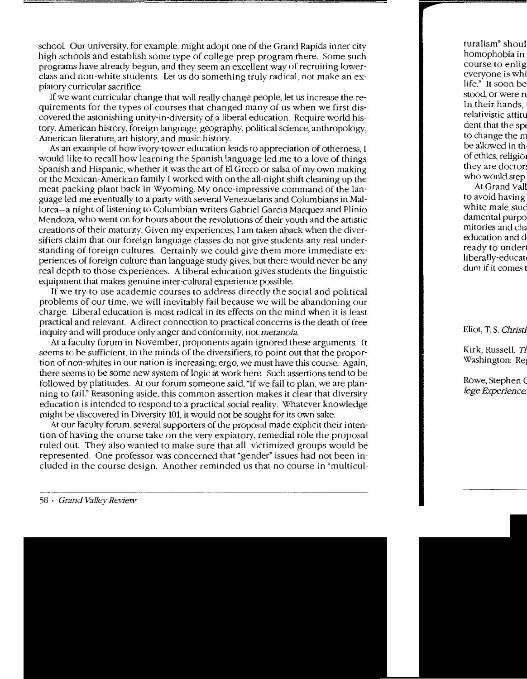school. Our university, for example, might adopt one of the Grand Rapids inner city high schools and establish some type of college prep program there. Some such programs have already begun, and they seem an excellent way of recruiting lowerclass and non-white students. Let us do something truly radical, not make an expiatory curricular sacrifice.

If we want curricular change that will really change people, let us increase the requirements for the types of courses that changed many of us when we first discovered the astonishing unity-in-diversity of a liberal education. Require world history, American history, foreign language, geography, political science, anthropology, American literature. art historv, and music historv.

As an example of how ivory-tower education leads to appreciation of otherness, I would like to recall how learning the Spanish language led me to a love of things Spanish and Hispanic, whether it was the art of El Greco or salsa of my own making or the Mexican-American family I worked with on the all-night shift cleaning up the meat-packing plant back in Wyoming. My once-impressive command of the language led me eventually to a party with several Venezuelans and Columbians in Mallorca-a night of listening to Columbian writers Gabriel Garcia Marquez and Plinio Mendoza, who went on for hours about the revolutions of their vouth and the artistic creations of their maturity. Given my experiences, I am taken aback when the diversifiers claim that our foreign language classes do not give students any real understanding of foreign cultures. Certainly we could give them more immediate experiences of foreign culture than language study gives, but there would never be any real depth to those experiences. A liberal education gives students the linguistic equipment that makes genuine inter-cultural experience possible.

If we try to use academic courses to address directly the social and political problems of our time, we will inevitably fail because we will be abandoning our charge. Liberal education is most radical in its effects on the mind when it is least practical and relevant. A direct connection to practical concerns is the death of free inquiry and will produce only anger and conformity, not *metanoia.* 

At a faculty forum in November, proponents again ignored these arguments. It seems to be sufficient, in the minds of the diversifiers, to point out that the proportion of non-whites in our nation is increasing; ergo, we must have this course. Again, there seems to be some new system of logic at work here. Such assertions tend to be followed by platitudes. At our forum someone said, "If we fail to plan, we are planning to fail." Reasoning aside, this common assertion makes it clear that diversity education is intended to respond to a practical social reality. Whatever knowledge might be discovered in Diversity 101, it would not be sought for its own sake.

At our faculty forum, several supporters of the proposal made explicit their intention of having the course take on the very expiatory, remedial role the proposal ruled out. They also wanted to make sure that all victimized groups would be represented. One professor was concerned that "gender" issues had not been included in the course design. Another reminded us that no course in "multicul